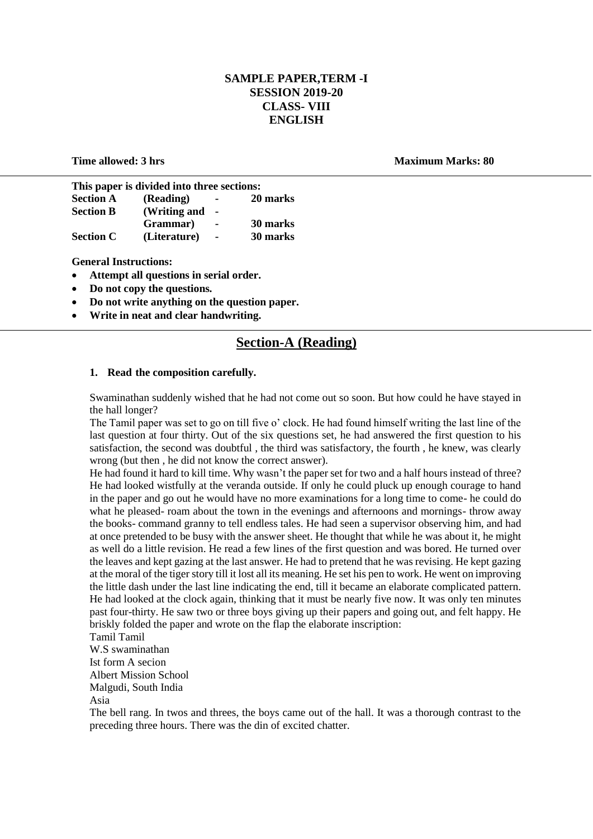# **SAMPLE PAPER,TERM -I SESSION 2019-20 CLASS- VIII ENGLISH**

**Time allowed: 3 hrs** Maximum Marks: 80

| This paper is divided into three sections: |              |                          |          |  |
|--------------------------------------------|--------------|--------------------------|----------|--|
| <b>Section A</b>                           | (Reading)    | -                        | 20 marks |  |
| <b>Section B</b>                           | (Writing and | $\overline{\phantom{a}}$ |          |  |
|                                            | Grammar)     | $\blacksquare$           | 30 marks |  |
| <b>Section C</b>                           | (Literature) | $\blacksquare$           | 30 marks |  |

**General Instructions:**

- **Attempt all questions in serial order.**
- **Do not copy the questions.**
- **Do not write anything on the question paper.**
- **Write in neat and clear handwriting.**

# **Section-A (Reading)**

#### **1. Read the composition carefully.**

Swaminathan suddenly wished that he had not come out so soon. But how could he have stayed in the hall longer?

The Tamil paper was set to go on till five o' clock. He had found himself writing the last line of the last question at four thirty. Out of the six questions set, he had answered the first question to his satisfaction, the second was doubtful , the third was satisfactory, the fourth , he knew, was clearly wrong (but then , he did not know the correct answer).

He had found it hard to kill time. Why wasn't the paper set for two and a half hours instead of three? He had looked wistfully at the veranda outside. If only he could pluck up enough courage to hand in the paper and go out he would have no more examinations for a long time to come- he could do what he pleased- roam about the town in the evenings and afternoons and mornings- throw away the books- command granny to tell endless tales. He had seen a supervisor observing him, and had at once pretended to be busy with the answer sheet. He thought that while he was about it, he might as well do a little revision. He read a few lines of the first question and was bored. He turned over the leaves and kept gazing at the last answer. He had to pretend that he was revising. He kept gazing at the moral of the tiger story till it lost all its meaning. He set his pen to work. He went on improving the little dash under the last line indicating the end, till it became an elaborate complicated pattern. He had looked at the clock again, thinking that it must be nearly five now. It was only ten minutes past four-thirty. He saw two or three boys giving up their papers and going out, and felt happy. He briskly folded the paper and wrote on the flap the elaborate inscription:

Tamil Tamil W.S swaminathan Ist form A secion Albert Mission School Malgudi, South India Asia

The bell rang. In twos and threes, the boys came out of the hall. It was a thorough contrast to the preceding three hours. There was the din of excited chatter.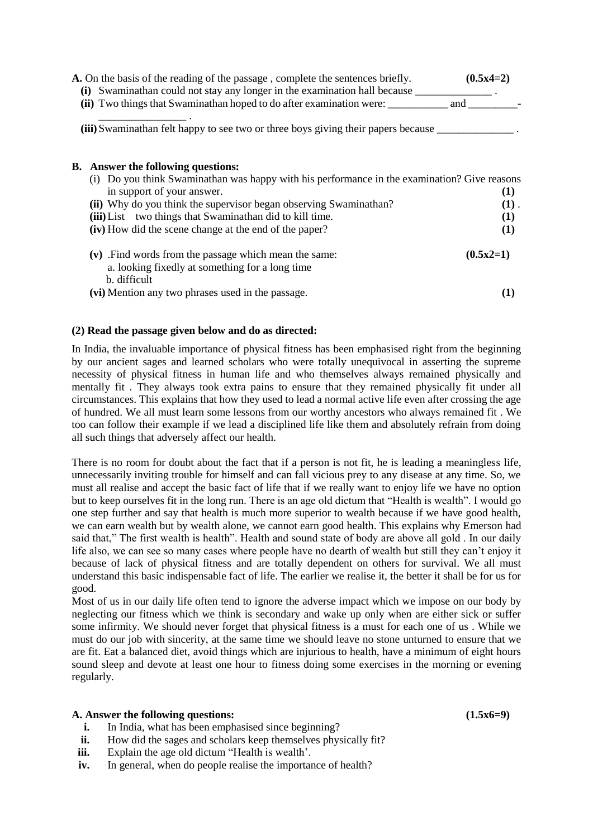| A. On the basis of the reading of the passage, complete the sentences briefly.<br>Swaminathan could not stay any longer in the examination hall because<br>(i) | $(0.5x4=2)$ |
|----------------------------------------------------------------------------------------------------------------------------------------------------------------|-------------|
| (ii) Two things that Swaminathan hoped to do after examination were:                                                                                           | and         |
| (iii) Swaminathan felt happy to see two or three boys giving their papers because                                                                              |             |
| <b>B.</b> Answer the following questions:                                                                                                                      |             |
| (i) Do you think Swaminathan was happy with his performance in the examination? Give reasons<br>in support of your answer.                                     | $\bf(1)$    |
| (ii) Why do you think the supervisor began observing Swaminathan?                                                                                              | $(1)$ .     |
| (iii) List two things that Swaminathan did to kill time.                                                                                                       | (1)         |
| (iv) How did the scene change at the end of the paper?                                                                                                         | $\bf(1)$    |
|                                                                                                                                                                |             |

| (v) Find words from the passage which mean the same: | $(0.5x2=1)$ |
|------------------------------------------------------|-------------|
| a. looking fixedly at something for a long time      |             |
| b. difficult                                         |             |
| (vi) Mention any two phrases used in the passage.    |             |

#### **(2) Read the passage given below and do as directed:**

In India, the invaluable importance of physical fitness has been emphasised right from the beginning by our ancient sages and learned scholars who were totally unequivocal in asserting the supreme necessity of physical fitness in human life and who themselves always remained physically and mentally fit . They always took extra pains to ensure that they remained physically fit under all circumstances. This explains that how they used to lead a normal active life even after crossing the age of hundred. We all must learn some lessons from our worthy ancestors who always remained fit . We too can follow their example if we lead a disciplined life like them and absolutely refrain from doing all such things that adversely affect our health.

There is no room for doubt about the fact that if a person is not fit, he is leading a meaningless life, unnecessarily inviting trouble for himself and can fall vicious prey to any disease at any time. So, we must all realise and accept the basic fact of life that if we really want to enjoy life we have no option but to keep ourselves fit in the long run. There is an age old dictum that "Health is wealth". I would go one step further and say that health is much more superior to wealth because if we have good health, we can earn wealth but by wealth alone, we cannot earn good health. This explains why Emerson had said that," The first wealth is health". Health and sound state of body are above all gold . In our daily life also, we can see so many cases where people have no dearth of wealth but still they can't enjoy it because of lack of physical fitness and are totally dependent on others for survival. We all must understand this basic indispensable fact of life. The earlier we realise it, the better it shall be for us for good.

Most of us in our daily life often tend to ignore the adverse impact which we impose on our body by neglecting our fitness which we think is secondary and wake up only when are either sick or suffer some infirmity. We should never forget that physical fitness is a must for each one of us . While we must do our job with sincerity, at the same time we should leave no stone unturned to ensure that we are fit. Eat a balanced diet, avoid things which are injurious to health, have a minimum of eight hours sound sleep and devote at least one hour to fitness doing some exercises in the morning or evening regularly.

### **A. Answer the following questions: (1.5x6=9)**

- **i.** In India, what has been emphasised since beginning?
- **ii.** How did the sages and scholars keep themselves physically fit?
- **iii.** Explain the age old dictum "Health is wealth".
- **iv.** In general, when do people realise the importance of health?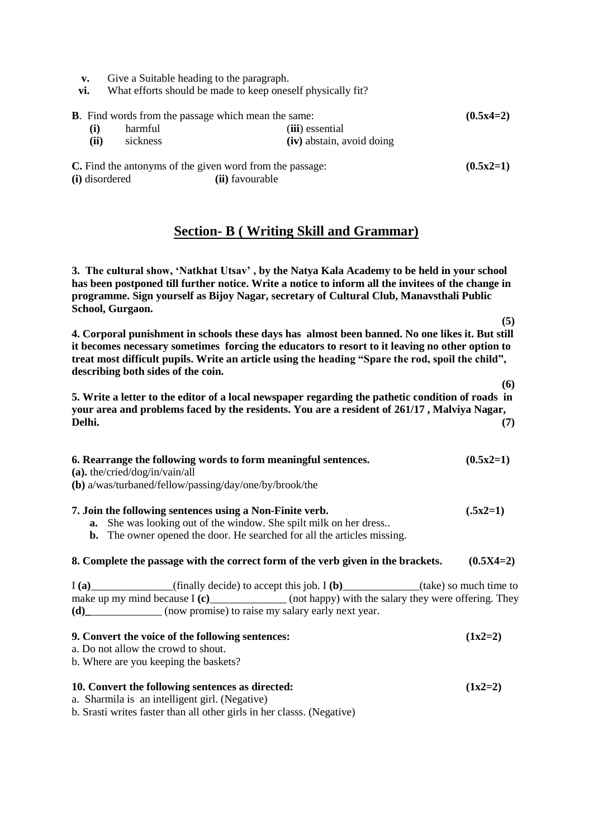- **v.** Give a Suitable heading to the paragraph.
- **vi.** What efforts should be made to keep oneself physically fit?

| <b>B</b> . Find words from the passage which mean the same: |                     |                                              | $(0.5x4=2)$ |
|-------------------------------------------------------------|---------------------|----------------------------------------------|-------------|
| (i)<br>(ii)                                                 | harmful<br>sickness | (iii) essential<br>(iv) abstain, avoid doing |             |
|                                                             |                     |                                              |             |

**C.** Find the antonyms of the given word from the passage:  $(0.5x2=1)$ 

**(i)** disordered **(ii)** favourable

# **Section- B ( Writing Skill and Grammar)**

**3. The cultural show, 'Natkhat Utsav' , by the Natya Kala Academy to be held in your school has been postponed till further notice. Write a notice to inform all the invitees of the change in programme. Sign yourself as Bijoy Nagar, secretary of Cultural Club, Manavsthali Public School, Gurgaon.**

**(5) 4. Corporal punishment in schools these days has almost been banned. No one likes it. But still it becomes necessary sometimes forcing the educators to resort to it leaving no other option to treat most difficult pupils. Write an article using the heading "Spare the rod, spoil the child", describing both sides of the coin.**

**5. Write a letter to the editor of a local newspaper regarding the pathetic condition of roads in your area and problems faced by the residents. You are a resident of 261/17 , Malviya Nagar, Delhi. (7)**

**(6)**

| 6. Rearrange the following words to form meaningful sentences.<br>(a). the/cried/dog/in/vain/all<br>(b) a/was/turbaned/fellow/passing/day/one/by/brook/the                                                                            | $(0.5x2=1)$ |
|---------------------------------------------------------------------------------------------------------------------------------------------------------------------------------------------------------------------------------------|-------------|
| 7. Join the following sentences using a Non-Finite verb.<br><b>a.</b> She was looking out of the window. She spilt milk on her dress<br><b>b.</b> The owner opened the door. He searched for all the articles missing.                | $(.5x2=1)$  |
| 8. Complete the passage with the correct form of the verb given in the brackets.                                                                                                                                                      | $(0.5X4=2)$ |
| I (a) (finally decide) to accept this job. I (b) (take) so much time to<br>make up my mind because I (c) ______________ (not happy) with the salary they were offering. They<br>(d) (now promise) to raise my salary early next year. |             |
| 9. Convert the voice of the following sentences:<br>a. Do not allow the crowd to shout.<br>b. Where are you keeping the baskets?                                                                                                      | $(1x2=2)$   |
| 10. Convert the following sentences as directed:<br>a. Sharmila is an intelligent girl. (Negative)<br><b>b</b> Strasti writes faster than all other girls in her classs (Negative)                                                    | $(1x2=2)$   |

b. Srasti writes faster than all other girls in her classs. (Negative)